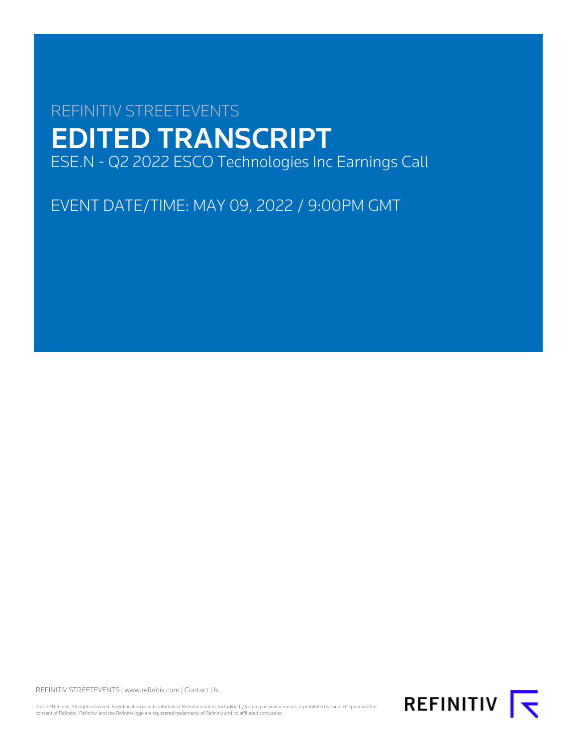# REFINITIV STREETEVENTS EDITED TRANSCRIPT ESE.N - Q2 2022 ESCO Technologies Inc Earnings Call

EVENT DATE/TIME: MAY 09, 2022 / 9:00PM GMT

REFINITIV STREETEVENTS | [www.refinitiv.com](https://www.refinitiv.com/) | [Contact Us](https://www.refinitiv.com/en/contact-us)

©2022 Refinitiv. All rights reserved. Republication or redistribution of Refinitiv content, including by framing or similar means, is prohibited without the prior written<br>consent of Refinitiv. 'Refinitiv' and the Refinitiv

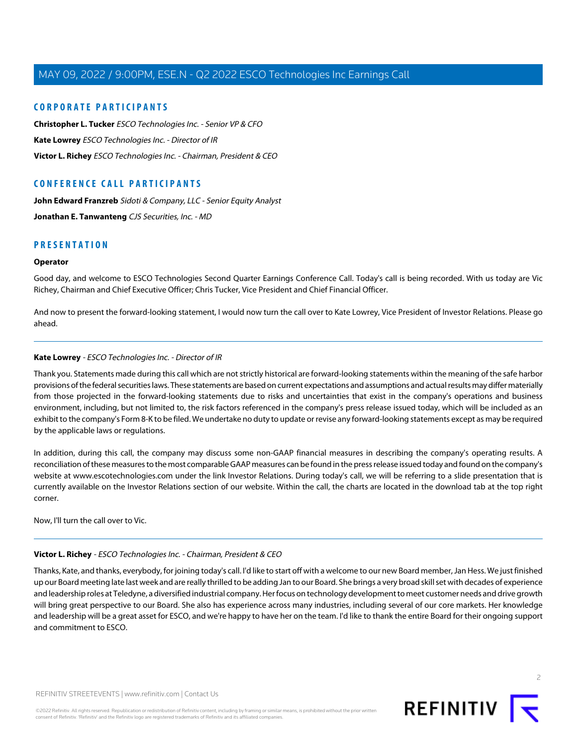## **CORPORATE PARTICIPANTS**

**[Christopher L. Tucker](#page-2-0)** ESCO Technologies Inc. - Senior VP & CFO **[Kate Lowrey](#page-1-0)** ESCO Technologies Inc. - Director of IR **[Victor L. Richey](#page-1-1)** ESCO Technologies Inc. - Chairman, President & CEO

## **CONFERENCE CALL PARTICIPANTS**

[John Edward Franzreb](#page-5-0) Sidoti & Company, LLC - Senior Equity Analyst **[Jonathan E. Tanwanteng](#page-6-0)** CJS Securities, Inc. - MD

## **PRESENTATION**

#### **Operator**

Good day, and welcome to ESCO Technologies Second Quarter Earnings Conference Call. Today's call is being recorded. With us today are Vic Richey, Chairman and Chief Executive Officer; Chris Tucker, Vice President and Chief Financial Officer.

<span id="page-1-0"></span>And now to present the forward-looking statement, I would now turn the call over to Kate Lowrey, Vice President of Investor Relations. Please go ahead.

#### **Kate Lowrey** - ESCO Technologies Inc. - Director of IR

Thank you. Statements made during this call which are not strictly historical are forward-looking statements within the meaning of the safe harbor provisions of the federal securities laws. These statements are based on current expectations and assumptions and actual results may differ materially from those projected in the forward-looking statements due to risks and uncertainties that exist in the company's operations and business environment, including, but not limited to, the risk factors referenced in the company's press release issued today, which will be included as an exhibit to the company's Form 8-K to be filed. We undertake no duty to update or revise any forward-looking statements except as may be required by the applicable laws or regulations.

In addition, during this call, the company may discuss some non-GAAP financial measures in describing the company's operating results. A reconciliation of these measures to the most comparable GAAP measures can be found in the press release issued today and found on the company's website at www.escotechnologies.com under the link Investor Relations. During today's call, we will be referring to a slide presentation that is currently available on the Investor Relations section of our website. Within the call, the charts are located in the download tab at the top right corner.

<span id="page-1-1"></span>Now, I'll turn the call over to Vic.

#### **Victor L. Richey** - ESCO Technologies Inc. - Chairman, President & CEO

Thanks, Kate, and thanks, everybody, for joining today's call. I'd like to start off with a welcome to our new Board member, Jan Hess. We just finished up our Board meeting late last week and are really thrilled to be adding Jan to our Board. She brings a very broad skill set with decades of experience and leadership roles at Teledyne, a diversified industrial company. Her focus on technology development to meet customer needs and drive growth will bring great perspective to our Board. She also has experience across many industries, including several of our core markets. Her knowledge and leadership will be a great asset for ESCO, and we're happy to have her on the team. I'd like to thank the entire Board for their ongoing support and commitment to ESCO.

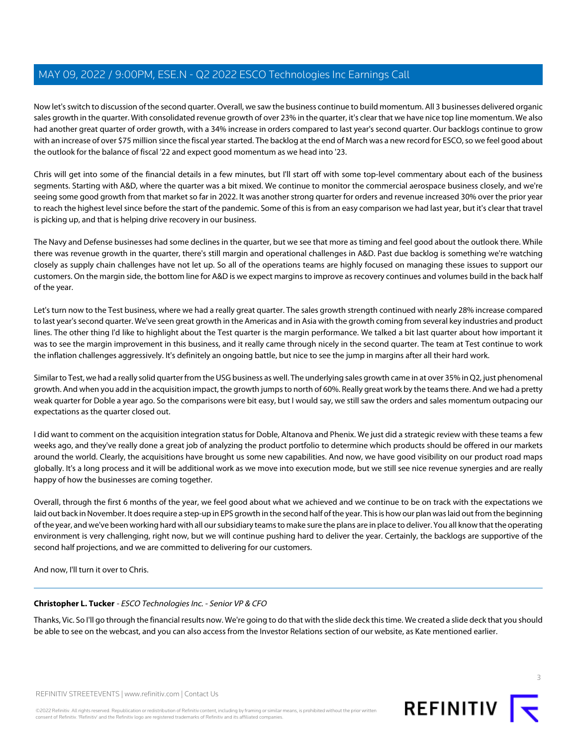Now let's switch to discussion of the second quarter. Overall, we saw the business continue to build momentum. All 3 businesses delivered organic sales growth in the quarter. With consolidated revenue growth of over 23% in the quarter, it's clear that we have nice top line momentum. We also had another great quarter of order growth, with a 34% increase in orders compared to last year's second quarter. Our backlogs continue to grow with an increase of over \$75 million since the fiscal year started. The backlog at the end of March was a new record for ESCO, so we feel good about the outlook for the balance of fiscal '22 and expect good momentum as we head into '23.

Chris will get into some of the financial details in a few minutes, but I'll start off with some top-level commentary about each of the business segments. Starting with A&D, where the quarter was a bit mixed. We continue to monitor the commercial aerospace business closely, and we're seeing some good growth from that market so far in 2022. It was another strong quarter for orders and revenue increased 30% over the prior year to reach the highest level since before the start of the pandemic. Some of this is from an easy comparison we had last year, but it's clear that travel is picking up, and that is helping drive recovery in our business.

The Navy and Defense businesses had some declines in the quarter, but we see that more as timing and feel good about the outlook there. While there was revenue growth in the quarter, there's still margin and operational challenges in A&D. Past due backlog is something we're watching closely as supply chain challenges have not let up. So all of the operations teams are highly focused on managing these issues to support our customers. On the margin side, the bottom line for A&D is we expect margins to improve as recovery continues and volumes build in the back half of the year.

Let's turn now to the Test business, where we had a really great quarter. The sales growth strength continued with nearly 28% increase compared to last year's second quarter. We've seen great growth in the Americas and in Asia with the growth coming from several key industries and product lines. The other thing I'd like to highlight about the Test quarter is the margin performance. We talked a bit last quarter about how important it was to see the margin improvement in this business, and it really came through nicely in the second quarter. The team at Test continue to work the inflation challenges aggressively. It's definitely an ongoing battle, but nice to see the jump in margins after all their hard work.

Similar to Test, we had a really solid quarter from the USG business as well. The underlying sales growth came in at over 35% in Q2, just phenomenal growth. And when you add in the acquisition impact, the growth jumps to north of 60%. Really great work by the teams there. And we had a pretty weak quarter for Doble a year ago. So the comparisons were bit easy, but I would say, we still saw the orders and sales momentum outpacing our expectations as the quarter closed out.

I did want to comment on the acquisition integration status for Doble, Altanova and Phenix. We just did a strategic review with these teams a few weeks ago, and they've really done a great job of analyzing the product portfolio to determine which products should be offered in our markets around the world. Clearly, the acquisitions have brought us some new capabilities. And now, we have good visibility on our product road maps globally. It's a long process and it will be additional work as we move into execution mode, but we still see nice revenue synergies and are really happy of how the businesses are coming together.

Overall, through the first 6 months of the year, we feel good about what we achieved and we continue to be on track with the expectations we laid out back in November. It does require a step-up in EPS growth in the second half of the year. This is how our plan was laid out from the beginning of the year, and we've been working hard with all our subsidiary teams to make sure the plans are in place to deliver. You all know that the operating environment is very challenging, right now, but we will continue pushing hard to deliver the year. Certainly, the backlogs are supportive of the second half projections, and we are committed to delivering for our customers.

<span id="page-2-0"></span>And now, I'll turn it over to Chris.

#### **Christopher L. Tucker** - ESCO Technologies Inc. - Senior VP & CFO

Thanks, Vic. So I'll go through the financial results now. We're going to do that with the slide deck this time. We created a slide deck that you should be able to see on the webcast, and you can also access from the Investor Relations section of our website, as Kate mentioned earlier.

3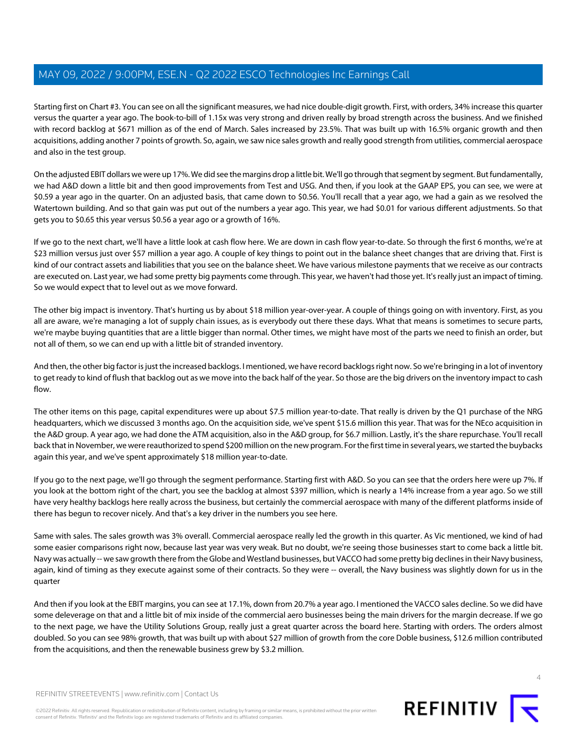Starting first on Chart #3. You can see on all the significant measures, we had nice double-digit growth. First, with orders, 34% increase this quarter versus the quarter a year ago. The book-to-bill of 1.15x was very strong and driven really by broad strength across the business. And we finished with record backlog at \$671 million as of the end of March. Sales increased by 23.5%. That was built up with 16.5% organic growth and then acquisitions, adding another 7 points of growth. So, again, we saw nice sales growth and really good strength from utilities, commercial aerospace and also in the test group.

On the adjusted EBIT dollars we were up 17%. We did see the margins drop a little bit. We'll go through that segment by segment. But fundamentally, we had A&D down a little bit and then good improvements from Test and USG. And then, if you look at the GAAP EPS, you can see, we were at \$0.59 a year ago in the quarter. On an adjusted basis, that came down to \$0.56. You'll recall that a year ago, we had a gain as we resolved the Watertown building. And so that gain was put out of the numbers a year ago. This year, we had \$0.01 for various different adjustments. So that gets you to \$0.65 this year versus \$0.56 a year ago or a growth of 16%.

If we go to the next chart, we'll have a little look at cash flow here. We are down in cash flow year-to-date. So through the first 6 months, we're at \$23 million versus just over \$57 million a year ago. A couple of key things to point out in the balance sheet changes that are driving that. First is kind of our contract assets and liabilities that you see on the balance sheet. We have various milestone payments that we receive as our contracts are executed on. Last year, we had some pretty big payments come through. This year, we haven't had those yet. It's really just an impact of timing. So we would expect that to level out as we move forward.

The other big impact is inventory. That's hurting us by about \$18 million year-over-year. A couple of things going on with inventory. First, as you all are aware, we're managing a lot of supply chain issues, as is everybody out there these days. What that means is sometimes to secure parts, we're maybe buying quantities that are a little bigger than normal. Other times, we might have most of the parts we need to finish an order, but not all of them, so we can end up with a little bit of stranded inventory.

And then, the other big factor is just the increased backlogs. I mentioned, we have record backlogs right now. So we're bringing in a lot of inventory to get ready to kind of flush that backlog out as we move into the back half of the year. So those are the big drivers on the inventory impact to cash flow.

The other items on this page, capital expenditures were up about \$7.5 million year-to-date. That really is driven by the Q1 purchase of the NRG headquarters, which we discussed 3 months ago. On the acquisition side, we've spent \$15.6 million this year. That was for the NEco acquisition in the A&D group. A year ago, we had done the ATM acquisition, also in the A&D group, for \$6.7 million. Lastly, it's the share repurchase. You'll recall back that in November, we were reauthorized to spend \$200 million on the new program. For the first time in several years, we started the buybacks again this year, and we've spent approximately \$18 million year-to-date.

If you go to the next page, we'll go through the segment performance. Starting first with A&D. So you can see that the orders here were up 7%. If you look at the bottom right of the chart, you see the backlog at almost \$397 million, which is nearly a 14% increase from a year ago. So we still have very healthy backlogs here really across the business, but certainly the commercial aerospace with many of the different platforms inside of there has begun to recover nicely. And that's a key driver in the numbers you see here.

Same with sales. The sales growth was 3% overall. Commercial aerospace really led the growth in this quarter. As Vic mentioned, we kind of had some easier comparisons right now, because last year was very weak. But no doubt, we're seeing those businesses start to come back a little bit. Navy was actually -- we saw growth there from the Globe and Westland businesses, but VACCO had some pretty big declines in their Navy business, again, kind of timing as they execute against some of their contracts. So they were -- overall, the Navy business was slightly down for us in the quarter

And then if you look at the EBIT margins, you can see at 17.1%, down from 20.7% a year ago. I mentioned the VACCO sales decline. So we did have some deleverage on that and a little bit of mix inside of the commercial aero businesses being the main drivers for the margin decrease. If we go to the next page, we have the Utility Solutions Group, really just a great quarter across the board here. Starting with orders. The orders almost doubled. So you can see 98% growth, that was built up with about \$27 million of growth from the core Doble business, \$12.6 million contributed from the acquisitions, and then the renewable business grew by \$3.2 million.

REFINITIV STREETEVENTS | [www.refinitiv.com](https://www.refinitiv.com/) | [Contact Us](https://www.refinitiv.com/en/contact-us)

©2022 Refinitiv. All rights reserved. Republication or redistribution of Refinitiv content, including by framing or similar means, is prohibited without the prior written consent of Refinitiv. 'Refinitiv' and the Refinitiv logo are registered trademarks of Refinitiv and its affiliated companies.



 $\Delta$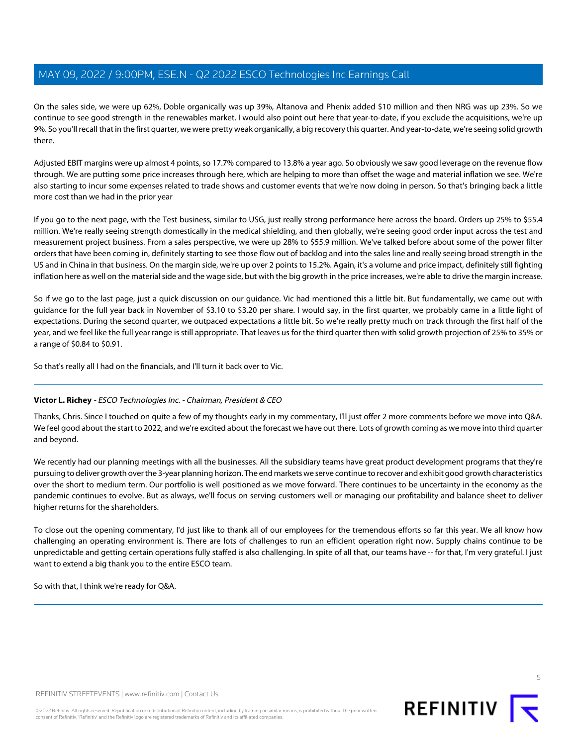On the sales side, we were up 62%, Doble organically was up 39%, Altanova and Phenix added \$10 million and then NRG was up 23%. So we continue to see good strength in the renewables market. I would also point out here that year-to-date, if you exclude the acquisitions, we're up 9%. So you'll recall that in the first quarter, we were pretty weak organically, a big recovery this quarter. And year-to-date, we're seeing solid growth there.

Adjusted EBIT margins were up almost 4 points, so 17.7% compared to 13.8% a year ago. So obviously we saw good leverage on the revenue flow through. We are putting some price increases through here, which are helping to more than offset the wage and material inflation we see. We're also starting to incur some expenses related to trade shows and customer events that we're now doing in person. So that's bringing back a little more cost than we had in the prior year

If you go to the next page, with the Test business, similar to USG, just really strong performance here across the board. Orders up 25% to \$55.4 million. We're really seeing strength domestically in the medical shielding, and then globally, we're seeing good order input across the test and measurement project business. From a sales perspective, we were up 28% to \$55.9 million. We've talked before about some of the power filter orders that have been coming in, definitely starting to see those flow out of backlog and into the sales line and really seeing broad strength in the US and in China in that business. On the margin side, we're up over 2 points to 15.2%. Again, it's a volume and price impact, definitely still fighting inflation here as well on the material side and the wage side, but with the big growth in the price increases, we're able to drive the margin increase.

So if we go to the last page, just a quick discussion on our guidance. Vic had mentioned this a little bit. But fundamentally, we came out with guidance for the full year back in November of \$3.10 to \$3.20 per share. I would say, in the first quarter, we probably came in a little light of expectations. During the second quarter, we outpaced expectations a little bit. So we're really pretty much on track through the first half of the year, and we feel like the full year range is still appropriate. That leaves us for the third quarter then with solid growth projection of 25% to 35% or a range of \$0.84 to \$0.91.

So that's really all I had on the financials, and I'll turn it back over to Vic.

#### **Victor L. Richey** - ESCO Technologies Inc. - Chairman, President & CEO

Thanks, Chris. Since I touched on quite a few of my thoughts early in my commentary, I'll just offer 2 more comments before we move into Q&A. We feel good about the start to 2022, and we're excited about the forecast we have out there. Lots of growth coming as we move into third quarter and beyond.

We recently had our planning meetings with all the businesses. All the subsidiary teams have great product development programs that they're pursuing to deliver growth over the 3-year planning horizon. The end markets we serve continue to recover and exhibit good growth characteristics over the short to medium term. Our portfolio is well positioned as we move forward. There continues to be uncertainty in the economy as the pandemic continues to evolve. But as always, we'll focus on serving customers well or managing our profitability and balance sheet to deliver higher returns for the shareholders.

To close out the opening commentary, I'd just like to thank all of our employees for the tremendous efforts so far this year. We all know how challenging an operating environment is. There are lots of challenges to run an efficient operation right now. Supply chains continue to be unpredictable and getting certain operations fully staffed is also challenging. In spite of all that, our teams have -- for that, I'm very grateful. I just want to extend a big thank you to the entire ESCO team.

So with that, I think we're ready for Q&A.

**REFINITIV** 

5

REFINITIV STREETEVENTS | [www.refinitiv.com](https://www.refinitiv.com/) | [Contact Us](https://www.refinitiv.com/en/contact-us)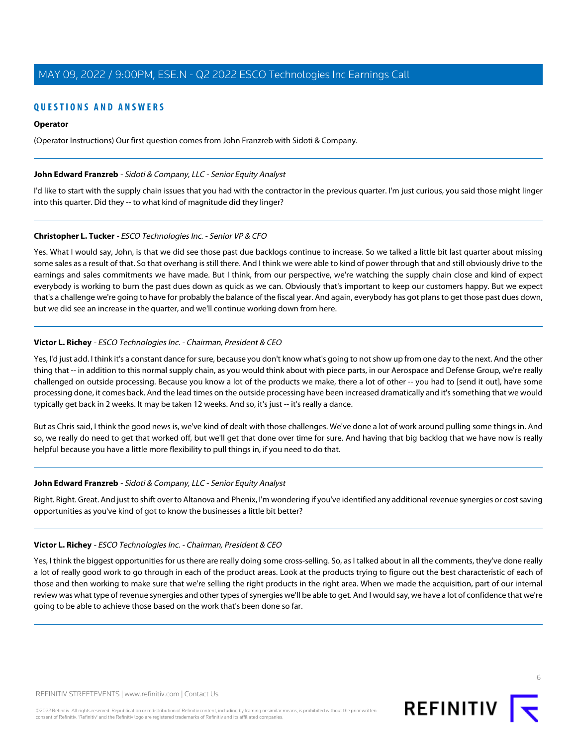## **QUESTIONS AND ANSWERS**

#### **Operator**

<span id="page-5-0"></span>(Operator Instructions) Our first question comes from John Franzreb with Sidoti & Company.

#### John Edward Franzreb - Sidoti & Company, LLC - Senior Equity Analyst

I'd like to start with the supply chain issues that you had with the contractor in the previous quarter. I'm just curious, you said those might linger into this quarter. Did they -- to what kind of magnitude did they linger?

#### **Christopher L. Tucker** - ESCO Technologies Inc. - Senior VP & CFO

Yes. What I would say, John, is that we did see those past due backlogs continue to increase. So we talked a little bit last quarter about missing some sales as a result of that. So that overhang is still there. And I think we were able to kind of power through that and still obviously drive to the earnings and sales commitments we have made. But I think, from our perspective, we're watching the supply chain close and kind of expect everybody is working to burn the past dues down as quick as we can. Obviously that's important to keep our customers happy. But we expect that's a challenge we're going to have for probably the balance of the fiscal year. And again, everybody has got plans to get those past dues down, but we did see an increase in the quarter, and we'll continue working down from here.

#### **Victor L. Richey** - ESCO Technologies Inc. - Chairman, President & CEO

Yes, I'd just add. I think it's a constant dance for sure, because you don't know what's going to not show up from one day to the next. And the other thing that -- in addition to this normal supply chain, as you would think about with piece parts, in our Aerospace and Defense Group, we're really challenged on outside processing. Because you know a lot of the products we make, there a lot of other -- you had to [send it out], have some processing done, it comes back. And the lead times on the outside processing have been increased dramatically and it's something that we would typically get back in 2 weeks. It may be taken 12 weeks. And so, it's just -- it's really a dance.

But as Chris said, I think the good news is, we've kind of dealt with those challenges. We've done a lot of work around pulling some things in. And so, we really do need to get that worked off, but we'll get that done over time for sure. And having that big backlog that we have now is really helpful because you have a little more flexibility to pull things in, if you need to do that.

#### **John Edward Franzreb** - Sidoti & Company, LLC - Senior Equity Analyst

Right. Right. Great. And just to shift over to Altanova and Phenix, I'm wondering if you've identified any additional revenue synergies or cost saving opportunities as you've kind of got to know the businesses a little bit better?

#### **Victor L. Richey** - ESCO Technologies Inc. - Chairman, President & CEO

Yes, I think the biggest opportunities for us there are really doing some cross-selling. So, as I talked about in all the comments, they've done really a lot of really good work to go through in each of the product areas. Look at the products trying to figure out the best characteristic of each of those and then working to make sure that we're selling the right products in the right area. When we made the acquisition, part of our internal review was what type of revenue synergies and other types of synergies we'll be able to get. And I would say, we have a lot of confidence that we're going to be able to achieve those based on the work that's been done so far.

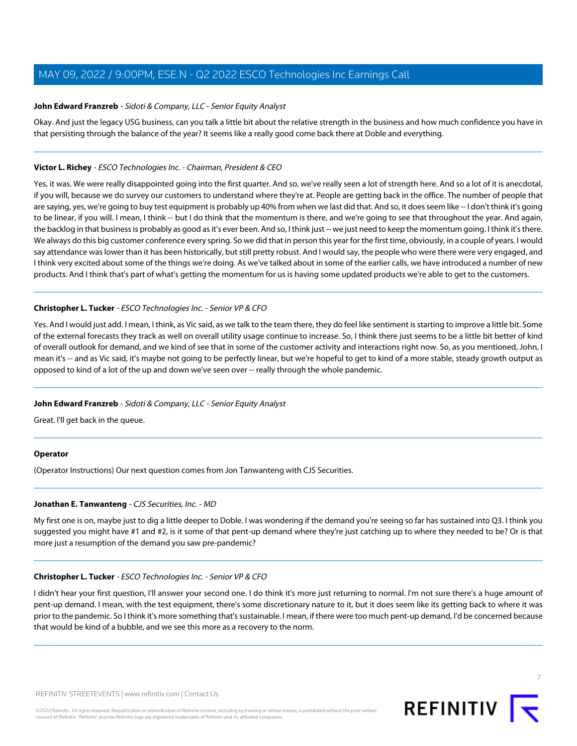#### **John Edward Franzreb** - Sidoti & Company, LLC - Senior Equity Analyst

Okay. And just the legacy USG business, can you talk a little bit about the relative strength in the business and how much confidence you have in that persisting through the balance of the year? It seems like a really good come back there at Doble and everything.

#### **Victor L. Richey** - ESCO Technologies Inc. - Chairman, President & CEO

Yes, it was. We were really disappointed going into the first quarter. And so, we've really seen a lot of strength here. And so a lot of it is anecdotal, if you will, because we do survey our customers to understand where they're at. People are getting back in the office. The number of people that are saying, yes, we're going to buy test equipment is probably up 40% from when we last did that. And so, it does seem like -- I don't think it's going to be linear, if you will. I mean, I think -- but I do think that the momentum is there, and we're going to see that throughout the year. And again, the backlog in that business is probably as good as it's ever been. And so, I think just -- we just need to keep the momentum going. I think it's there. We always do this big customer conference every spring. So we did that in person this year for the first time, obviously, in a couple of years. I would say attendance was lower than it has been historically, but still pretty robust. And I would say, the people who were there were very engaged, and I think very excited about some of the things we're doing. As we've talked about in some of the earlier calls, we have introduced a number of new products. And I think that's part of what's getting the momentum for us is having some updated products we're able to get to the customers.

#### **Christopher L. Tucker** - ESCO Technologies Inc. - Senior VP & CFO

Yes. And I would just add. I mean, I think, as Vic said, as we talk to the team there, they do feel like sentiment is starting to improve a little bit. Some of the external forecasts they track as well on overall utility usage continue to increase. So, I think there just seems to be a little bit better of kind of overall outlook for demand, and we kind of see that in some of the customer activity and interactions right now. So, as you mentioned, John, I mean it's -- and as Vic said, it's maybe not going to be perfectly linear, but we're hopeful to get to kind of a more stable, steady growth output as opposed to kind of a lot of the up and down we've seen over -- really through the whole pandemic.

#### **John Edward Franzreb** - Sidoti & Company, LLC - Senior Equity Analyst

Great. I'll get back in the queue.

#### <span id="page-6-0"></span>**Operator**

(Operator Instructions) Our next question comes from Jon Tanwanteng with CJS Securities.

#### **Jonathan E. Tanwanteng** - CJS Securities, Inc. - MD

My first one is on, maybe just to dig a little deeper to Doble. I was wondering if the demand you're seeing so far has sustained into Q3. I think you suggested you might have #1 and #2, is it some of that pent-up demand where they're just catching up to where they needed to be? Or is that more just a resumption of the demand you saw pre-pandemic?

#### **Christopher L. Tucker** - ESCO Technologies Inc. - Senior VP & CFO

I didn't hear your first question, I'll answer your second one. I do think it's more just returning to normal. I'm not sure there's a huge amount of pent-up demand. I mean, with the test equipment, there's some discretionary nature to it, but it does seem like its getting back to where it was prior to the pandemic. So I think it's more something that's sustainable. I mean, if there were too much pent-up demand, I'd be concerned because that would be kind of a bubble, and we see this more as a recovery to the norm.

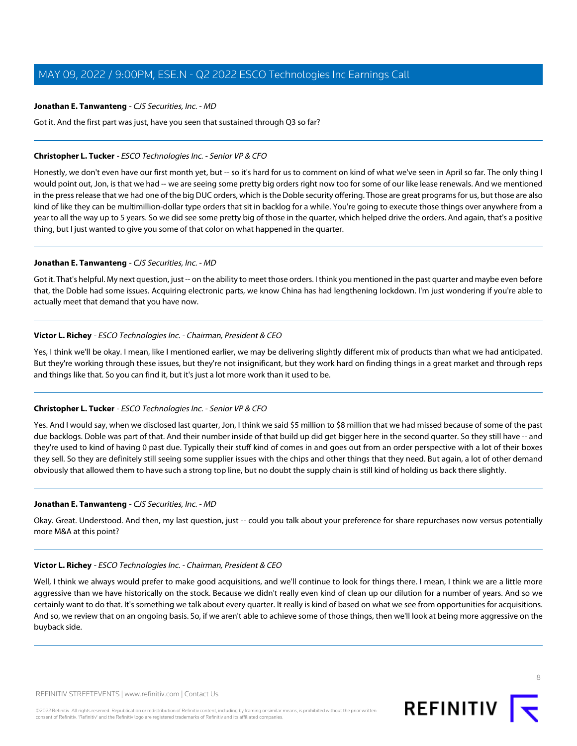#### **Jonathan E. Tanwanteng** - CJS Securities, Inc. - MD

Got it. And the first part was just, have you seen that sustained through Q3 so far?

### **Christopher L. Tucker** - ESCO Technologies Inc. - Senior VP & CFO

Honestly, we don't even have our first month yet, but -- so it's hard for us to comment on kind of what we've seen in April so far. The only thing I would point out, Jon, is that we had -- we are seeing some pretty big orders right now too for some of our like lease renewals. And we mentioned in the press release that we had one of the big DUC orders, which is the Doble security offering. Those are great programs for us, but those are also kind of like they can be multimillion-dollar type orders that sit in backlog for a while. You're going to execute those things over anywhere from a year to all the way up to 5 years. So we did see some pretty big of those in the quarter, which helped drive the orders. And again, that's a positive thing, but I just wanted to give you some of that color on what happened in the quarter.

#### **Jonathan E. Tanwanteng** - CJS Securities, Inc. - MD

Got it. That's helpful. My next question, just -- on the ability to meet those orders. I think you mentioned in the past quarter and maybe even before that, the Doble had some issues. Acquiring electronic parts, we know China has had lengthening lockdown. I'm just wondering if you're able to actually meet that demand that you have now.

## **Victor L. Richey** - ESCO Technologies Inc. - Chairman, President & CEO

Yes, I think we'll be okay. I mean, like I mentioned earlier, we may be delivering slightly different mix of products than what we had anticipated. But they're working through these issues, but they're not insignificant, but they work hard on finding things in a great market and through reps and things like that. So you can find it, but it's just a lot more work than it used to be.

#### **Christopher L. Tucker** - ESCO Technologies Inc. - Senior VP & CFO

Yes. And I would say, when we disclosed last quarter, Jon, I think we said \$5 million to \$8 million that we had missed because of some of the past due backlogs. Doble was part of that. And their number inside of that build up did get bigger here in the second quarter. So they still have -- and they're used to kind of having 0 past due. Typically their stuff kind of comes in and goes out from an order perspective with a lot of their boxes they sell. So they are definitely still seeing some supplier issues with the chips and other things that they need. But again, a lot of other demand obviously that allowed them to have such a strong top line, but no doubt the supply chain is still kind of holding us back there slightly.

#### **Jonathan E. Tanwanteng** - CJS Securities, Inc. - MD

Okay. Great. Understood. And then, my last question, just -- could you talk about your preference for share repurchases now versus potentially more M&A at this point?

#### **Victor L. Richey** - ESCO Technologies Inc. - Chairman, President & CEO

Well, I think we always would prefer to make good acquisitions, and we'll continue to look for things there. I mean, I think we are a little more aggressive than we have historically on the stock. Because we didn't really even kind of clean up our dilution for a number of years. And so we certainly want to do that. It's something we talk about every quarter. It really is kind of based on what we see from opportunities for acquisitions. And so, we review that on an ongoing basis. So, if we aren't able to achieve some of those things, then we'll look at being more aggressive on the buyback side.